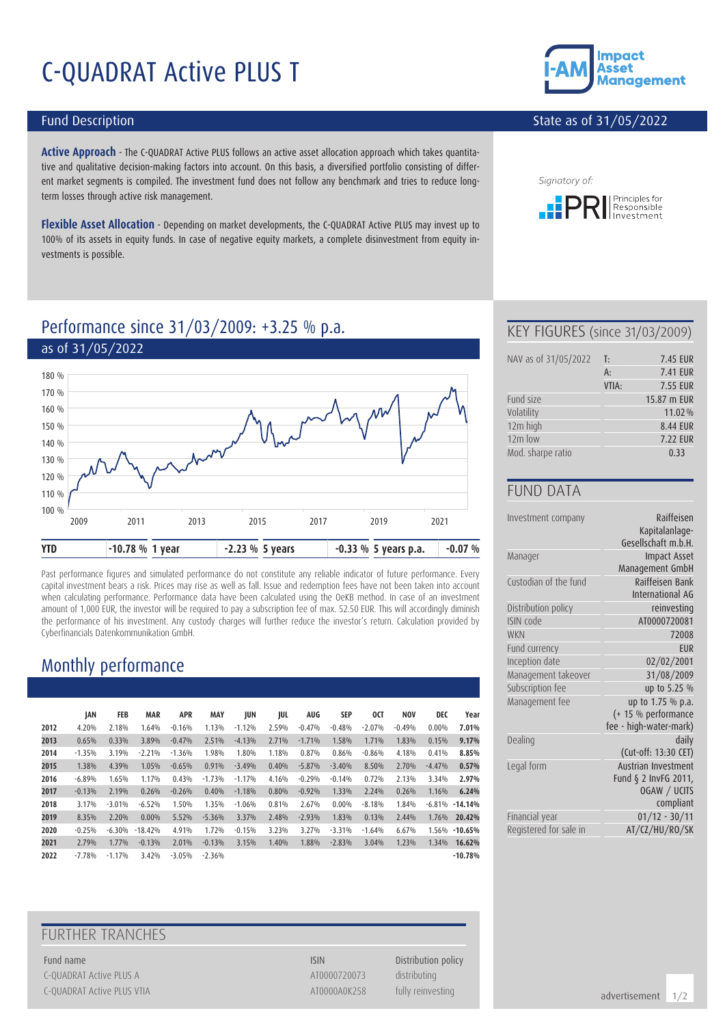# C-QUADRAT Active PLUS T

#### Fund Description

**Active Approach** - The C-QUADRAT Active PLUS follows an active asset allocation approach which takes quantitative and qualitative decision-making factors into account. On this basis, a diversified portfolio consisting of different market segments is compiled. The investment fund does not follow any benchmark and tries to reduce longterm losses through active risk management.

**Flexible Asset Allocation** - Depending on market developments, the C-QUADRAT Active PLUS may invest up to 100% of its assets in equity funds. In case of negative equity markets, a complete disinvestment from equity investments is possible.



#### State as of 31/05/2022



# Performance since 31/03/2009: +3.25 % p.a.



Past performance figures and simulated performance do not constitute any reliable indicator of future performance. Every capital investment bears a risk. Prices may rise as well as fall. Issue and redemption fees have not been taken into account when calculating performance. Performance data have been calculated using the OeKB method. In case of an investment amount of 1,000 EUR, the investor will be required to pay a subscription fee of max. 52.50 EUR. This will accordingly diminish the performance of his investment. Any custody charges will further reduce the investor's return. Calculation provided by Cyberfinancials Datenkommunikation GmbH.

## Monthly performance

|      | JAN      | FEB      | <b>MAR</b> | <b>APR</b> | <b>MAY</b> | JUN      | JUL   | <b>AUG</b> | SEP      | 0CT      | <b>NOV</b> | DEC      | Year               |
|------|----------|----------|------------|------------|------------|----------|-------|------------|----------|----------|------------|----------|--------------------|
| 2012 | 4.20%    | 2.18%    | 1.64%      | $-0.16%$   | 1.13%      | $-1.12%$ | 2.59% | $-0.47%$   | $-0.48%$ | $-2.07%$ | $-0.49%$   | $0.00\%$ | 7.01%              |
| 2013 | 0.65%    | 0.33%    | 3.89%      | $-0.47%$   | 2.51%      | $-4.13%$ | 2.71% | $-1.71%$   | 1.58%    | 1.71%    | 1.83%      | 0.15%    | 9.17%              |
| 2014 | $-1.35%$ | 3.19%    | $-2.21%$   | $-1.36%$   | 1.98%      | 1.80%    | 1.18% | 0.87%      | 0.86%    | $-0.86%$ | 4.18%      | 0.41%    | 8.85%              |
| 2015 | 1.38%    | 4.39%    | 1.05%      | $-0.65%$   | 0.91%      | $-3.49%$ | 0.40% | $-5.87%$   | $-3.40%$ | 8.50%    | 2.70%      | $-4.47%$ | 0.57%              |
| 2016 | $-6.89%$ | 1.65%    | 1.17%      | 0.43%      | $-1.73%$   | $-1.17%$ | 4.16% | $-0.29%$   | $-0.14%$ | 0.72%    | 2.13%      | 3.34%    | 2.97%              |
| 2017 | $-0.13%$ | 2.19%    | 0.26%      | $-0.26%$   | 0.40%      | $-1.18%$ | 0.80% | $-0.92%$   | 1.33%    | 2.24%    | 0.26%      | 1.16%    | 6.24%              |
| 2018 | 3.17%    | $-3.01%$ | $-6.52%$   | 1.50%      | 1.35%      | $-1.06%$ | 0.81% | 2.67%      | $0.00\%$ | $-8.18%$ | 1.84%      |          | $-6.81\% -14.14\%$ |
| 2019 | 8.35%    | 2.20%    | 0.00%      | 5.52%      | $-5.36%$   | 3.37%    | 2.48% | $-2.93%$   | 1.83%    | 0.13%    | 2.44%      | 1.76%    | 20.42%             |
| 2020 | $-0.25%$ | $-6.30%$ | $-18.42%$  | 4.91%      | 1.72%      | $-0.15%$ | 3.23% | 3.27%      | $-3.31%$ | $-1.64%$ | 6.67%      |          | 1.56% -10.65%      |
| 2021 | 2.79%    | 1.77%    | $-0.13%$   | 2.01%      | $-0.13%$   | 3.15%    | 1.40% | 1.88%      | $-2.83%$ | 3.04%    | 1.23%      | 1.34%    | 16.62%             |
| 2022 | $-7.78%$ | $-1.17%$ | 3.42%      | $-3.05%$   | $-2.36%$   |          |       |            |          |          |            |          | $-10.78%$          |

### FURTHER TRANCHES

Fund name **ISIN** Distribution policy C-QUADRAT Active PLUS A AT0000720073 distributing C-QUADRAT Active PLUS VTIA **ATOOOOAOK258** fully reinvesting

#### KEY FIGURES (since 31/03/2009)

| NAV as of 31/05/2022 | T:    | 7.45 EUR        |
|----------------------|-------|-----------------|
|                      | $A$ : | <b>7.41 EUR</b> |
|                      | VTIA: | <b>7.55 EUR</b> |
| Fund size            |       | 15.87 m EUR     |
| Volatility           |       | 11.02%          |
| 12m high             |       | 8.44 EUR        |
| $12m$ low            |       | <b>7.22 EUR</b> |
| Mod. sharpe ratio    |       | 0.33            |

#### FUND DATA

| Investment company     | Raiffeisen<br>Kapitalanlage-<br>Gesellschaft m.b.H. |
|------------------------|-----------------------------------------------------|
| Manager                | <b>Impact Asset</b>                                 |
|                        | Management GmbH                                     |
| Custodian of the fund  | Raiffeisen Bank<br>International AG                 |
| Distribution policy    | reinvesting                                         |
| ISIN code              | AT0000720081                                        |
| <b>WKN</b>             | 72008                                               |
| Fund currency          | <b>FUR</b>                                          |
| Inception date         | 02/02/2001                                          |
| Management takeover    | 31/08/2009                                          |
| Subscription fee       | up to 5.25 %                                        |
| Management fee         | up to 1.75 % p.a.                                   |
|                        | (+ 15 % performance                                 |
|                        | fee - high-water-mark)                              |
| Dealing                | daily                                               |
|                        | (Cut-off: 13:30 CET)                                |
| Legal form             | Austrian Investment                                 |
|                        | Fund § 2 InvFG 2011,                                |
|                        | OGAW / UCITS                                        |
|                        | compliant                                           |
| Financial year         | $01/12 - 30/11$                                     |
| Registered for sale in | AT/CZ/HU/RO/SK                                      |

advertisement 1/2